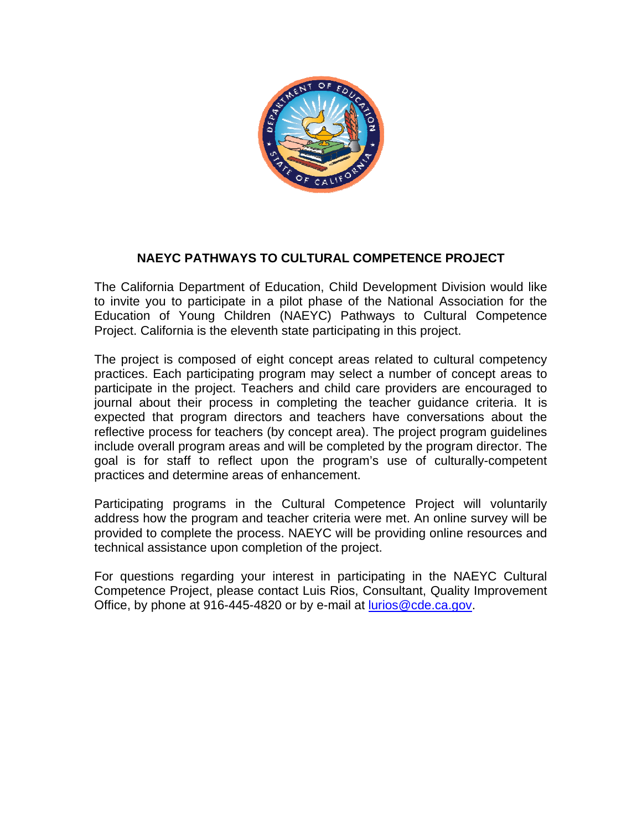

# **NAEYC PATHWAYS TO CULTURAL COMPETENCE PROJECT**

The California Department of Education, Child Development Division would like to invite you to participate in a pilot phase of the National Association for the Education of Young Children (NAEYC) Pathways to Cultural Competence Project. California is the eleventh state participating in this project.

The project is composed of eight concept areas related to cultural competency practices. Each participating program may select a number of concept areas to participate in the project. Teachers and child care providers are encouraged to journal about their process in completing the teacher guidance criteria. It is expected that program directors and teachers have conversations about the reflective process for teachers (by concept area). The project program guidelines include overall program areas and will be completed by the program director. The goal is for staff to reflect upon the program's use of culturally-competent practices and determine areas of enhancement.

Participating programs in the Cultural Competence Project will voluntarily address how the program and teacher criteria were met. An online survey will be provided to complete the process. NAEYC will be providing online resources and technical assistance upon completion of the project.

For questions regarding your interest in participating in the NAEYC Cultural Competence Project, please contact Luis Rios, Consultant, Quality Improvement Office, by phone at 916-445-4820 or by e-mail at [lurios@cde.ca.gov](mailto:lurios@cde.ca.gov).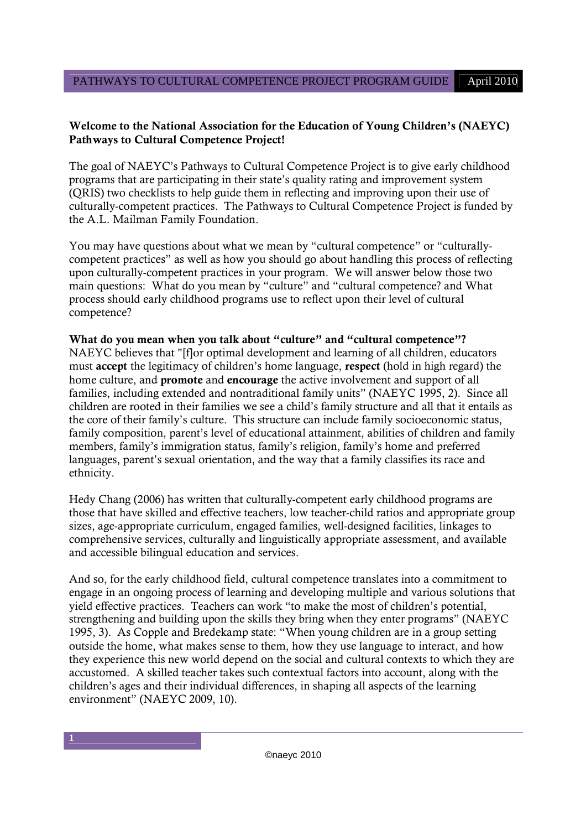# **Welcome to the National Association for the Education of Young Children's (NAEYC) Pathways to Cultural Competence Project!**

The goal of NAEYC's Pathways to Cultural Competence Project is to give early childhood programs that are participating in their state's quality rating and improvement system (QRIS) two checklists to help guide them in reflecting and improving upon their use of culturally-competent practices. The Pathways to Cultural Competence Project is funded by the A.L. Mailman Family Foundation.

You may have questions about what we mean by "cultural competence" or "culturallycompetent practices" as well as how you should go about handling this process of reflecting upon culturally-competent practices in your program. We will answer below those two main questions: What do you mean by "culture" and "cultural competence? and What process should early childhood programs use to reflect upon their level of cultural competence?

# **What do you mean when you talk about "culture" and "cultural competence"?**

NAEYC believes that "[f]or optimal development and learning of all children, educators must **accept** the legitimacy of children's home language, **respect** (hold in high regard) the home culture, and **promote** and **encourage** the active involvement and support of all families, including extended and nontraditional family units" (NAEYC 1995, 2). Since all children are rooted in their families we see a child's family structure and all that it entails as the core of their family's culture. This structure can include family socioeconomic status, family composition, parent's level of educational attainment, abilities of children and family members, family's immigration status, family's religion, family's home and preferred languages, parent's sexual orientation, and the way that a family classifies its race and ethnicity.

Hedy Chang (2006) has written that culturally-competent early childhood programs are those that have skilled and effective teachers, low teacher-child ratios and appropriate group sizes, age-appropriate curriculum, engaged families, well-designed facilities, linkages to comprehensive services, culturally and linguistically appropriate assessment, and available and accessible bilingual education and services.

And so, for the early childhood field, cultural competence translates into a commitment to engage in an ongoing process of learning and developing multiple and various solutions that yield effective practices. Teachers can work "to make the most of children's potential, strengthening and building upon the skills they bring when they enter programs" (NAEYC 1995, 3). As Copple and Bredekamp state: "When young children are in a group setting outside the home, what makes sense to them, how they use language to interact, and how they experience this new world depend on the social and cultural contexts to which they are accustomed. A skilled teacher takes such contextual factors into account, along with the children's ages and their individual differences, in shaping all aspects of the learning environment" (NAEYC 2009, 10).

**1**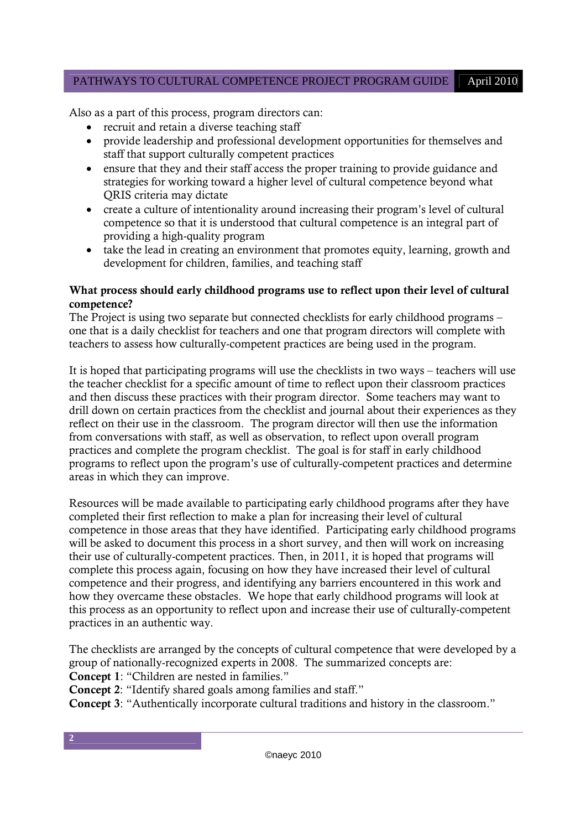# PATHWAYS TO CULTURAL COMPETENCE PROJECT PROGRAM GUIDE April 2010

Also as a part of this process, program directors can:

- recruit and retain a diverse teaching staff
- provide leadership and professional development opportunities for themselves and staff that support culturally competent practices
- ensure that they and their staff access the proper training to provide guidance and strategies for working toward a higher level of cultural competence beyond what QRIS criteria may dictate
- create a culture of intentionality around increasing their program's level of cultural competence so that it is understood that cultural competence is an integral part of providing a high-quality program
- take the lead in creating an environment that promotes equity, learning, growth and development for children, families, and teaching staff

# **What process should early childhood programs use to reflect upon their level of cultural competence?**

The Project is using two separate but connected checklists for early childhood programs – one that is a daily checklist for teachers and one that program directors will complete with teachers to assess how culturally-competent practices are being used in the program.

It is hoped that participating programs will use the checklists in two ways – teachers will use the teacher checklist for a specific amount of time to reflect upon their classroom practices and then discuss these practices with their program director. Some teachers may want to drill down on certain practices from the checklist and journal about their experiences as they reflect on their use in the classroom. The program director will then use the information from conversations with staff, as well as observation, to reflect upon overall program practices and complete the program checklist. The goal is for staff in early childhood programs to reflect upon the program's use of culturally-competent practices and determine areas in which they can improve.

Resources will be made available to participating early childhood programs after they have completed their first reflection to make a plan for increasing their level of cultural competence in those areas that they have identified. Participating early childhood programs will be asked to document this process in a short survey, and then will work on increasing their use of culturally-competent practices. Then, in 2011, it is hoped that programs will complete this process again, focusing on how they have increased their level of cultural competence and their progress, and identifying any barriers encountered in this work and how they overcame these obstacles. We hope that early childhood programs will look at this process as an opportunity to reflect upon and increase their use of culturally-competent practices in an authentic way.

The checklists are arranged by the concepts of cultural competence that were developed by a group of nationally-recognized experts in 2008. The summarized concepts are: **Concept 1**: "Children are nested in families."

**Concept 2**: "Identify shared goals among families and staff."

**2**

**Concept 3**: "Authentically incorporate cultural traditions and history in the classroom."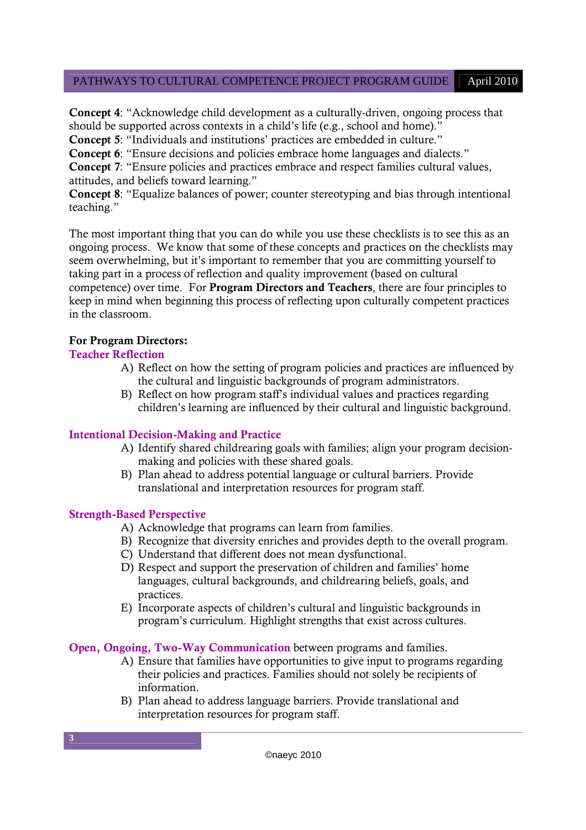# PATHWAYS TO CULTURAL COMPETENCE PROJECT PROGRAM GUIDE April 2010

**Concept 4**: "Acknowledge child development as a culturally-driven, ongoing process that should be supported across contexts in a child's life (e.g., school and home)."

**Concept 5**: "Individuals and institutions' practices are embedded in culture."

**Concept 6**: "Ensure decisions and policies embrace home languages and dialects."

**Concept 7**: "Ensure policies and practices embrace and respect families cultural values, attitudes, and beliefs toward learning."

**Concept 8**: "Equalize balances of power; counter stereotyping and bias through intentional teaching."

The most important thing that you can do while you use these checklists is to see this as an ongoing process. We know that some of these concepts and practices on the checklists may seem overwhelming, but it's important to remember that you are committing yourself to taking part in a process of reflection and quality improvement (based on cultural competence) over time. For **Program Directors and Teachers**, there are four principles to keep in mind when beginning this process of reflecting upon culturally competent practices in the classroom.

# **For Program Directors:**

# **Teacher Reflection**

- A) Reflect on how the setting of program policies and practices are influenced by the cultural and linguistic backgrounds of program administrators.
- B) Reflect on how program staff's individual values and practices regarding children's learning are influenced by their cultural and linguistic background.

# **Intentional Decision-Making and Practice**

- A) Identify shared childrearing goals with families; align your program decisionmaking and policies with these shared goals.
- B) Plan ahead to address potential language or cultural barriers. Provide translational and interpretation resources for program staff.

# **Strength-Based Perspective**

- A) Acknowledge that programs can learn from families.
- B) Recognize that diversity enriches and provides depth to the overall program.
- C) Understand that different does not mean dysfunctional.
- D) Respect and support the preservation of children and families' home languages, cultural backgrounds, and childrearing beliefs, goals, and practices.
- E) Incorporate aspects of children's cultural and linguistic backgrounds in program's curriculum. Highlight strengths that exist across cultures.

**Open, Ongoing, Two-Way Communication** between programs and families.

- A) Ensure that families have opportunities to give input to programs regarding their policies and practices. Families should not solely be recipients of information.
- B) Plan ahead to address language barriers. Provide translational and interpretation resources for program staff.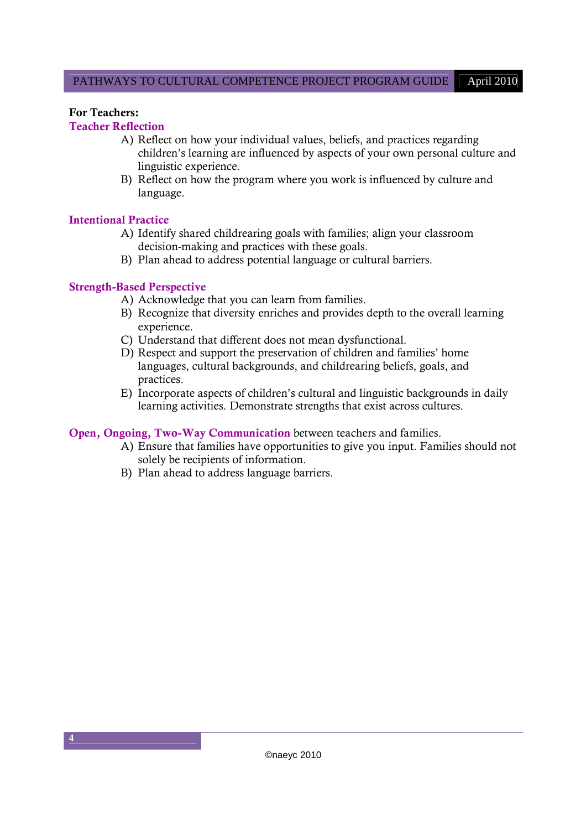#### **For Teachers:**

# **Teacher Reflection**

- A) Reflect on how your individual values, beliefs, and practices regarding children's learning are influenced by aspects of your own personal culture and linguistic experience.
- B) Reflect on how the program where you work is influenced by culture and language.

#### **Intentional Practice**

- A) Identify shared childrearing goals with families; align your classroom decision-making and practices with these goals.
- B) Plan ahead to address potential language or cultural barriers.

# **Strength-Based Perspective**

- A) Acknowledge that you can learn from families.
- B) Recognize that diversity enriches and provides depth to the overall learning experience.
- C) Understand that different does not mean dysfunctional.
- D) Respect and support the preservation of children and families' home languages, cultural backgrounds, and childrearing beliefs, goals, and practices.
- E) Incorporate aspects of children's cultural and linguistic backgrounds in daily learning activities. Demonstrate strengths that exist across cultures.

#### **Open, Ongoing, Two-Way Communication** between teachers and families.

- A) Ensure that families have opportunities to give you input. Families should not solely be recipients of information.
- B) Plan ahead to address language barriers.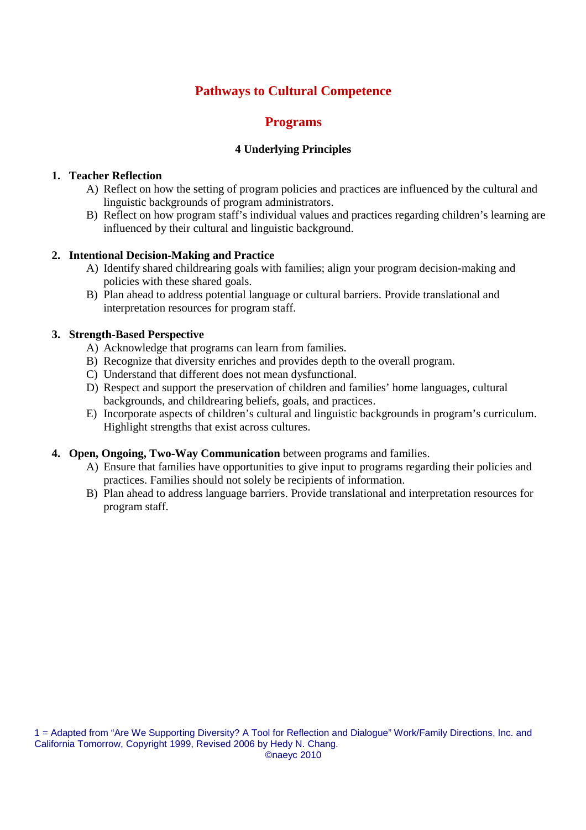# **Pathways to Cultural Competence**

# **Programs**

# **4 Underlying Principles**

#### **1. Teacher Reflection**

- A) Reflect on how the setting of program policies and practices are influenced by the cultural and linguistic backgrounds of program administrators.
- B) Reflect on how program staff's individual values and practices regarding children's learning are influenced by their cultural and linguistic background.

#### **2. Intentional Decision-Making and Practice**

- A) Identify shared childrearing goals with families; align your program decision-making and policies with these shared goals.
- B) Plan ahead to address potential language or cultural barriers. Provide translational and interpretation resources for program staff.

#### **3. Strength-Based Perspective**

- A) Acknowledge that programs can learn from families.
- B) Recognize that diversity enriches and provides depth to the overall program.
- C) Understand that different does not mean dysfunctional.
- D) Respect and support the preservation of children and families' home languages, cultural backgrounds, and childrearing beliefs, goals, and practices.
- E) Incorporate aspects of children's cultural and linguistic backgrounds in program's curriculum. Highlight strengths that exist across cultures.

# **4. Open, Ongoing, Two-Way Communication** between programs and families.

- A) Ensure that families have opportunities to give input to programs regarding their policies and practices. Families should not solely be recipients of information.
- B) Plan ahead to address language barriers. Provide translational and interpretation resources for program staff.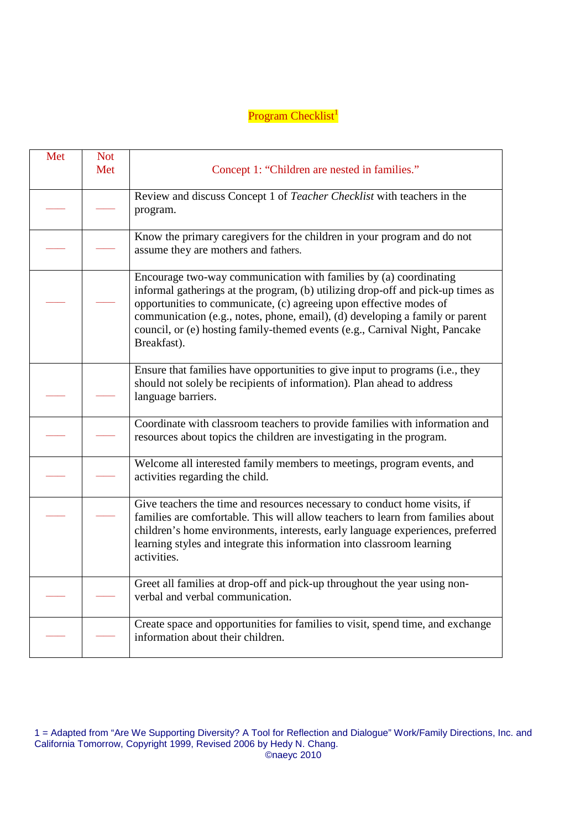# Program Checklist<sup>1</sup>

| Met | <b>Not</b> |                                                                                                                                                                                                                                                                                                                                                                                                          |
|-----|------------|----------------------------------------------------------------------------------------------------------------------------------------------------------------------------------------------------------------------------------------------------------------------------------------------------------------------------------------------------------------------------------------------------------|
|     | Met        | Concept 1: "Children are nested in families."                                                                                                                                                                                                                                                                                                                                                            |
|     |            | Review and discuss Concept 1 of Teacher Checklist with teachers in the<br>program.                                                                                                                                                                                                                                                                                                                       |
|     |            | Know the primary caregivers for the children in your program and do not<br>assume they are mothers and fathers.                                                                                                                                                                                                                                                                                          |
|     |            | Encourage two-way communication with families by (a) coordinating<br>informal gatherings at the program, (b) utilizing drop-off and pick-up times as<br>opportunities to communicate, (c) agreeing upon effective modes of<br>communication (e.g., notes, phone, email), (d) developing a family or parent<br>council, or (e) hosting family-themed events (e.g., Carnival Night, Pancake<br>Breakfast). |
|     |            | Ensure that families have opportunities to give input to programs (i.e., they<br>should not solely be recipients of information). Plan ahead to address<br>language barriers.                                                                                                                                                                                                                            |
|     |            | Coordinate with classroom teachers to provide families with information and<br>resources about topics the children are investigating in the program.                                                                                                                                                                                                                                                     |
|     |            | Welcome all interested family members to meetings, program events, and<br>activities regarding the child.                                                                                                                                                                                                                                                                                                |
|     |            | Give teachers the time and resources necessary to conduct home visits, if<br>families are comfortable. This will allow teachers to learn from families about<br>children's home environments, interests, early language experiences, preferred<br>learning styles and integrate this information into classroom learning<br>activities.                                                                  |
|     |            | Greet all families at drop-off and pick-up throughout the year using non-<br>verbal and verbal communication.                                                                                                                                                                                                                                                                                            |
|     |            | Create space and opportunities for families to visit, spend time, and exchange<br>information about their children.                                                                                                                                                                                                                                                                                      |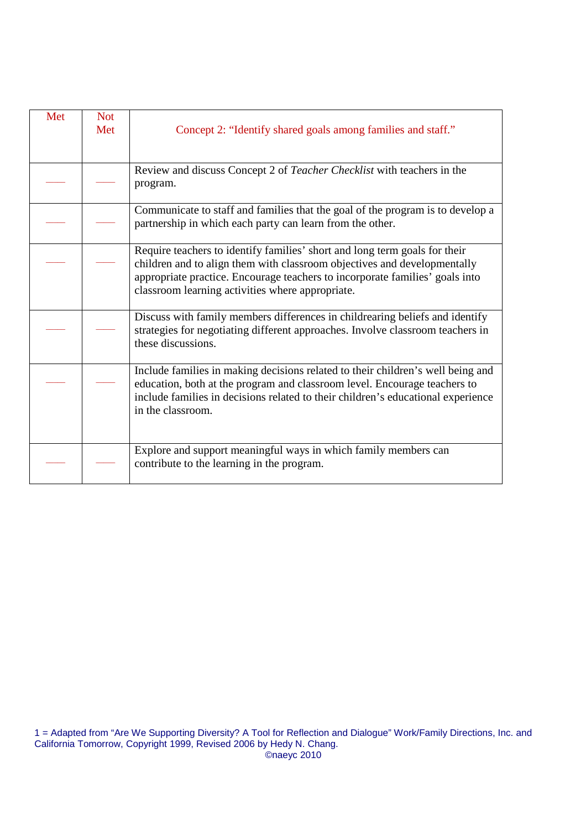| Met | <b>Not</b><br>Met | Concept 2: "Identify shared goals among families and staff."                                                                                                                                                                                                                               |
|-----|-------------------|--------------------------------------------------------------------------------------------------------------------------------------------------------------------------------------------------------------------------------------------------------------------------------------------|
|     |                   | Review and discuss Concept 2 of Teacher Checklist with teachers in the<br>program.                                                                                                                                                                                                         |
|     |                   | Communicate to staff and families that the goal of the program is to develop a<br>partnership in which each party can learn from the other.                                                                                                                                                |
|     |                   | Require teachers to identify families' short and long term goals for their<br>children and to align them with classroom objectives and developmentally<br>appropriate practice. Encourage teachers to incorporate families' goals into<br>classroom learning activities where appropriate. |
|     |                   | Discuss with family members differences in childrearing beliefs and identify<br>strategies for negotiating different approaches. Involve classroom teachers in<br>these discussions.                                                                                                       |
|     |                   | Include families in making decisions related to their children's well being and<br>education, both at the program and classroom level. Encourage teachers to<br>include families in decisions related to their children's educational experience<br>in the classroom.                      |
|     |                   | Explore and support meaningful ways in which family members can<br>contribute to the learning in the program.                                                                                                                                                                              |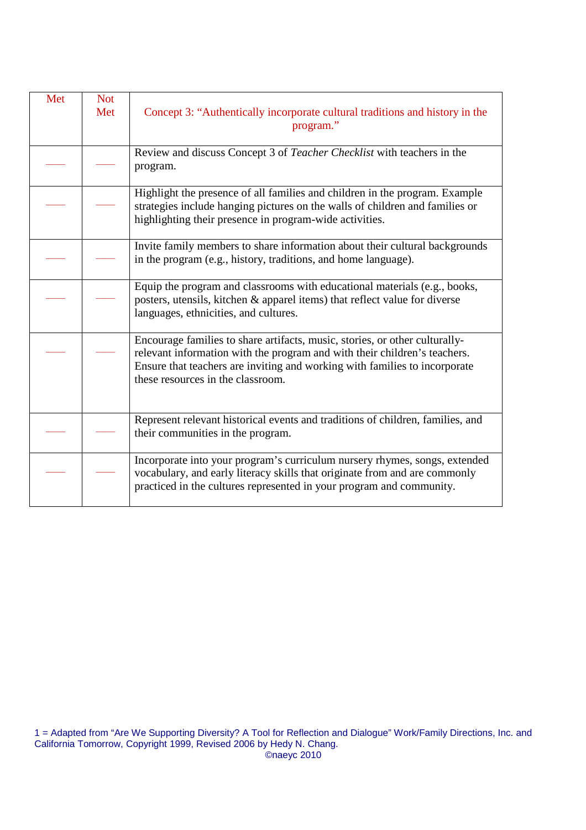| Met | <b>Not</b> |                                                                                                                                                                                                                                                                             |
|-----|------------|-----------------------------------------------------------------------------------------------------------------------------------------------------------------------------------------------------------------------------------------------------------------------------|
|     | Met        | Concept 3: "Authentically incorporate cultural traditions and history in the<br>program."                                                                                                                                                                                   |
|     |            | Review and discuss Concept 3 of Teacher Checklist with teachers in the<br>program.                                                                                                                                                                                          |
|     |            | Highlight the presence of all families and children in the program. Example<br>strategies include hanging pictures on the walls of children and families or<br>highlighting their presence in program-wide activities.                                                      |
|     |            | Invite family members to share information about their cultural backgrounds<br>in the program (e.g., history, traditions, and home language).                                                                                                                               |
|     |            | Equip the program and classrooms with educational materials (e.g., books,<br>posters, utensils, kitchen & apparel items) that reflect value for diverse<br>languages, ethnicities, and cultures.                                                                            |
|     |            | Encourage families to share artifacts, music, stories, or other culturally-<br>relevant information with the program and with their children's teachers.<br>Ensure that teachers are inviting and working with families to incorporate<br>these resources in the classroom. |
|     |            | Represent relevant historical events and traditions of children, families, and<br>their communities in the program.                                                                                                                                                         |
|     |            | Incorporate into your program's curriculum nursery rhymes, songs, extended<br>vocabulary, and early literacy skills that originate from and are commonly<br>practiced in the cultures represented in your program and community.                                            |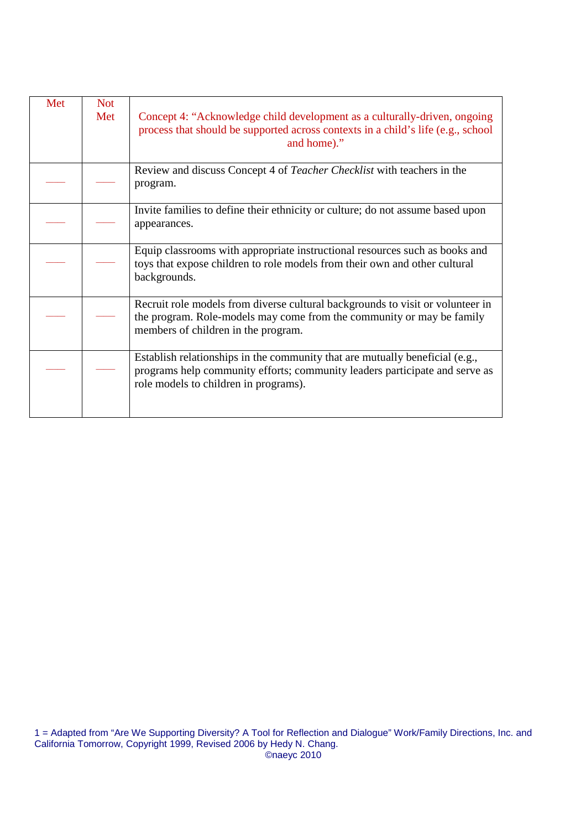| Met | <b>Not</b><br>Met | Concept 4: "Acknowledge child development as a culturally-driven, ongoing<br>process that should be supported across contexts in a child's life (e.g., school<br>and home)."                         |
|-----|-------------------|------------------------------------------------------------------------------------------------------------------------------------------------------------------------------------------------------|
|     |                   | Review and discuss Concept 4 of <i>Teacher Checklist</i> with teachers in the<br>program.                                                                                                            |
|     |                   | Invite families to define their ethnicity or culture; do not assume based upon<br>appearances.                                                                                                       |
|     |                   | Equip classrooms with appropriate instructional resources such as books and<br>toys that expose children to role models from their own and other cultural<br>backgrounds.                            |
|     |                   | Recruit role models from diverse cultural backgrounds to visit or volunteer in<br>the program. Role-models may come from the community or may be family<br>members of children in the program.       |
|     |                   | Establish relationships in the community that are mutually beneficial (e.g.,<br>programs help community efforts; community leaders participate and serve as<br>role models to children in programs). |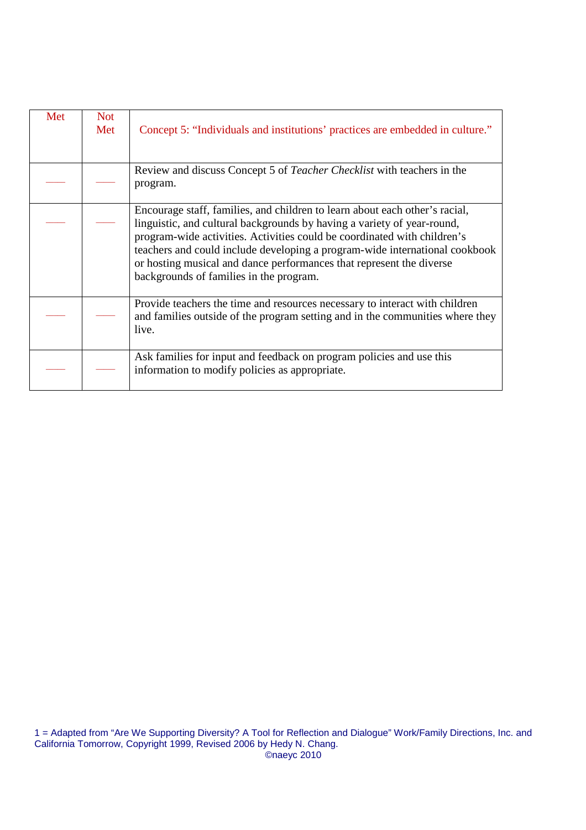| Met | <b>Not</b><br>Met | Concept 5: "Individuals and institutions' practices are embedded in culture."                                                                                                                                                                                                                                                                                                                                                        |
|-----|-------------------|--------------------------------------------------------------------------------------------------------------------------------------------------------------------------------------------------------------------------------------------------------------------------------------------------------------------------------------------------------------------------------------------------------------------------------------|
|     |                   | Review and discuss Concept 5 of Teacher Checklist with teachers in the<br>program.                                                                                                                                                                                                                                                                                                                                                   |
|     |                   | Encourage staff, families, and children to learn about each other's racial,<br>linguistic, and cultural backgrounds by having a variety of year-round,<br>program-wide activities. Activities could be coordinated with children's<br>teachers and could include developing a program-wide international cookbook<br>or hosting musical and dance performances that represent the diverse<br>backgrounds of families in the program. |
|     |                   | Provide teachers the time and resources necessary to interact with children<br>and families outside of the program setting and in the communities where they<br>live.                                                                                                                                                                                                                                                                |
|     |                   | Ask families for input and feedback on program policies and use this<br>information to modify policies as appropriate.                                                                                                                                                                                                                                                                                                               |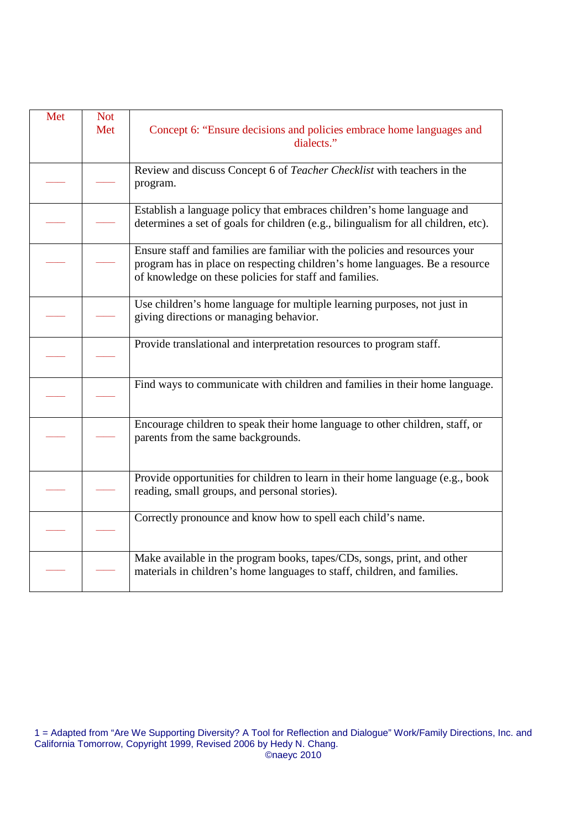| Met | <b>Not</b><br>Met | Concept 6: "Ensure decisions and policies embrace home languages and<br>dialects."                                                                                                                                   |
|-----|-------------------|----------------------------------------------------------------------------------------------------------------------------------------------------------------------------------------------------------------------|
|     |                   | Review and discuss Concept 6 of Teacher Checklist with teachers in the<br>program.                                                                                                                                   |
|     |                   | Establish a language policy that embraces children's home language and<br>determines a set of goals for children (e.g., bilingualism for all children, etc).                                                         |
|     |                   | Ensure staff and families are familiar with the policies and resources your<br>program has in place on respecting children's home languages. Be a resource<br>of knowledge on these policies for staff and families. |
|     |                   | Use children's home language for multiple learning purposes, not just in<br>giving directions or managing behavior.                                                                                                  |
|     |                   | Provide translational and interpretation resources to program staff.                                                                                                                                                 |
|     |                   | Find ways to communicate with children and families in their home language.                                                                                                                                          |
|     |                   | Encourage children to speak their home language to other children, staff, or<br>parents from the same backgrounds.                                                                                                   |
|     |                   | Provide opportunities for children to learn in their home language (e.g., book<br>reading, small groups, and personal stories).                                                                                      |
|     |                   | Correctly pronounce and know how to spell each child's name.                                                                                                                                                         |
|     |                   | Make available in the program books, tapes/CDs, songs, print, and other<br>materials in children's home languages to staff, children, and families.                                                                  |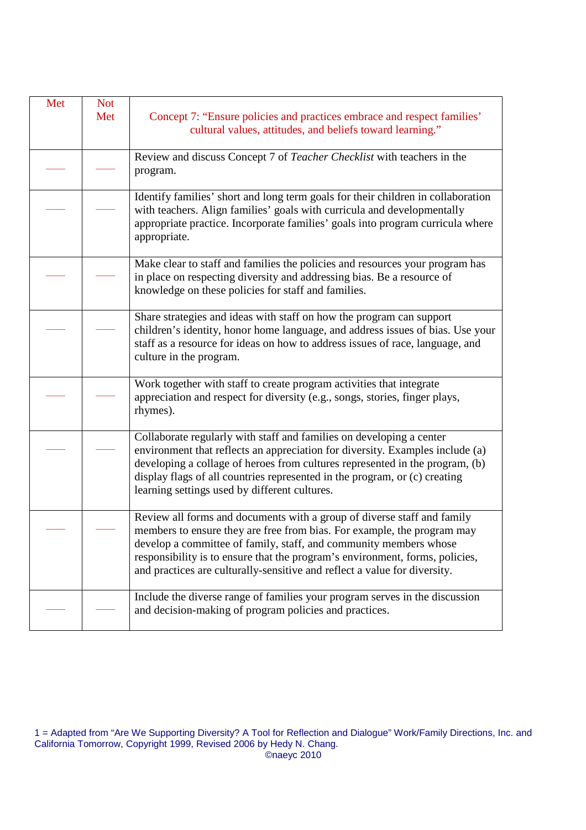| Met | <b>Not</b><br>Met | Concept 7: "Ensure policies and practices embrace and respect families"<br>cultural values, attitudes, and beliefs toward learning."                                                                                                                                                                                                                                                 |
|-----|-------------------|--------------------------------------------------------------------------------------------------------------------------------------------------------------------------------------------------------------------------------------------------------------------------------------------------------------------------------------------------------------------------------------|
|     |                   | Review and discuss Concept 7 of Teacher Checklist with teachers in the<br>program.                                                                                                                                                                                                                                                                                                   |
|     |                   | Identify families' short and long term goals for their children in collaboration<br>with teachers. Align families' goals with curricula and developmentally<br>appropriate practice. Incorporate families' goals into program curricula where<br>appropriate.                                                                                                                        |
|     |                   | Make clear to staff and families the policies and resources your program has<br>in place on respecting diversity and addressing bias. Be a resource of<br>knowledge on these policies for staff and families.                                                                                                                                                                        |
|     |                   | Share strategies and ideas with staff on how the program can support<br>children's identity, honor home language, and address issues of bias. Use your<br>staff as a resource for ideas on how to address issues of race, language, and<br>culture in the program.                                                                                                                   |
|     |                   | Work together with staff to create program activities that integrate<br>appreciation and respect for diversity (e.g., songs, stories, finger plays,<br>rhymes).                                                                                                                                                                                                                      |
|     |                   | Collaborate regularly with staff and families on developing a center<br>environment that reflects an appreciation for diversity. Examples include (a)<br>developing a collage of heroes from cultures represented in the program, (b)<br>display flags of all countries represented in the program, or (c) creating<br>learning settings used by different cultures.                 |
|     |                   | Review all forms and documents with a group of diverse staff and family<br>members to ensure they are free from bias. For example, the program may<br>develop a committee of family, staff, and community members whose<br>responsibility is to ensure that the program's environment, forms, policies,<br>and practices are culturally-sensitive and reflect a value for diversity. |
|     |                   | Include the diverse range of families your program serves in the discussion<br>and decision-making of program policies and practices.                                                                                                                                                                                                                                                |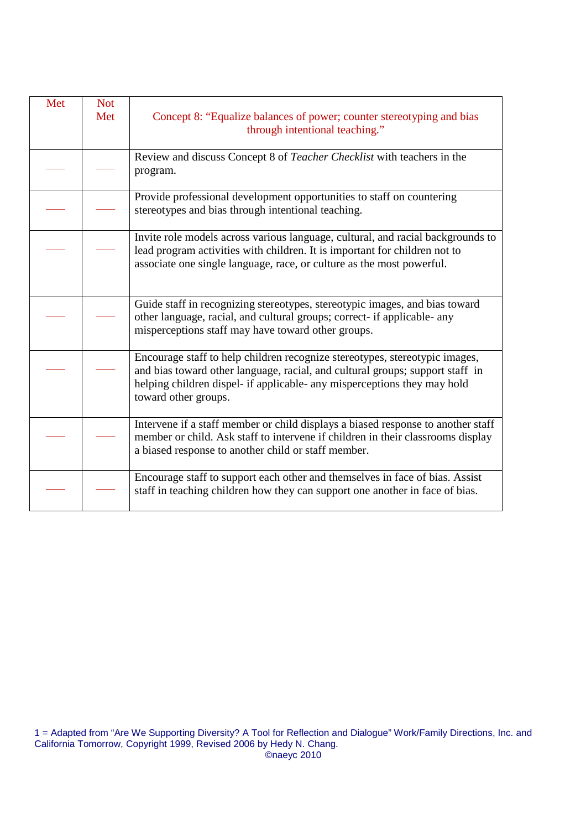| Met | <b>Not</b> |                                                                                                                                                                                                                                                                  |
|-----|------------|------------------------------------------------------------------------------------------------------------------------------------------------------------------------------------------------------------------------------------------------------------------|
|     | Met        | Concept 8: "Equalize balances of power; counter stereotyping and bias<br>through intentional teaching."                                                                                                                                                          |
|     |            | Review and discuss Concept 8 of Teacher Checklist with teachers in the<br>program.                                                                                                                                                                               |
|     |            | Provide professional development opportunities to staff on countering<br>stereotypes and bias through intentional teaching.                                                                                                                                      |
|     |            | Invite role models across various language, cultural, and racial backgrounds to<br>lead program activities with children. It is important for children not to<br>associate one single language, race, or culture as the most powerful.                           |
|     |            | Guide staff in recognizing stereotypes, stereotypic images, and bias toward<br>other language, racial, and cultural groups; correct- if applicable- any<br>misperceptions staff may have toward other groups.                                                    |
|     |            | Encourage staff to help children recognize stereotypes, stereotypic images,<br>and bias toward other language, racial, and cultural groups; support staff in<br>helping children dispel- if applicable- any misperceptions they may hold<br>toward other groups. |
|     |            | Intervene if a staff member or child displays a biased response to another staff<br>member or child. Ask staff to intervene if children in their classrooms display<br>a biased response to another child or staff member.                                       |
|     |            | Encourage staff to support each other and themselves in face of bias. Assist<br>staff in teaching children how they can support one another in face of bias.                                                                                                     |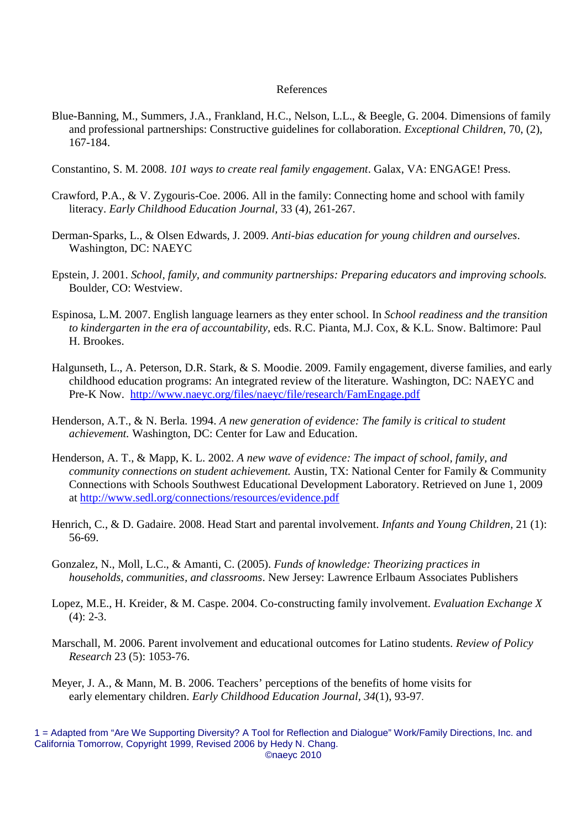#### References

- Blue-Banning, M., Summers, J.A., Frankland, H.C., Nelson, L.L., & Beegle, G. 2004. Dimensions of family and professional partnerships: Constructive guidelines for collaboration. *Exceptional Children,* 70, (2), 167-184.
- Constantino, S. M. 2008. *101 ways to create real family engagement*. Galax, VA: ENGAGE! Press.
- Crawford, P.A., & V. Zygouris-Coe. 2006. All in the family: Connecting home and school with family literacy. *Early Childhood Education Journal,* 33 (4), 261-267.
- Derman-Sparks, L., & Olsen Edwards, J. 2009. *Anti-bias education for young children and ourselves*. Washington, DC: NAEYC
- Epstein, J. 2001. *School, family, and community partnerships: Preparing educators and improving schools.* Boulder, CO: Westview.
- Espinosa, L.M. 2007. English language learners as they enter school. In *School readiness and the transition to kindergarten in the era of accountability,* eds. R.C. Pianta, M.J. Cox, & K.L. Snow. Baltimore: Paul H. Brookes.
- Halgunseth, L., A. Peterson, D.R. Stark, & S. Moodie. 2009. Family engagement, diverse families, and early childhood education programs: An integrated review of the literature. Washington, DC: NAEYC and Pre-K Now. http://www.naeyc.org/files/naeyc/file/research/FamEngage.pdf
- Henderson, A.T., & N. Berla. 1994. *[A new generation of evidence: The family is cr](http://www.naeyc.org/files/naeyc/file/research/FamEngage.pdf)itical to student achievement.* Washington, DC: Center for Law and Education.
- Henderson, A. T., & Mapp, K. L. 2002. *A new wave of evidence: The impact of school, family, and community connections on student achievement.* Austin, TX: National Center for Family & Community Connections with Schools Southwest Educational Development Laboratory. Retrieved on June 1, 2009 at http://www.sedl.org/connections/resources/evidence.pdf
- Henri[ch, C., & D. Gadaire. 2008. Head Start and parental involve](http://www.sedl.org/connections/resources/evidence.pdf)ment. *Infants and Young Children,* 21 (1): 56-69.
- Gonzalez, N., Moll, L.C., & Amanti, C. (2005). *Funds of knowledge: Theorizing practices in households, communities, and classrooms*. New Jersey: Lawrence Erlbaum Associates Publishers
- Lopez, M.E., H. Kreider, & M. Caspe. 2004. Co-constructing family involvement. *Evaluation Exchange X*  $(4)$ : 2-3.
- Marschall, M. 2006. Parent involvement and educational outcomes for Latino students. *Review of Policy Research* 23 (5): 1053-76.
- Meyer, J. A., & Mann, M. B. 2006. Teachers' perceptions of the benefits of home visits for early elementary children. *Early Childhood Education Journal, 34*(1), 93-97.

<sup>1 =</sup> Adapted from "Are We Supporting Diversity? A Tool for Reflection and Dialogue" Work/Family Directions, Inc. and California Tomorrow, Copyright 1999, Revised 2006 by Hedy N. Chang. ©naeyc 2010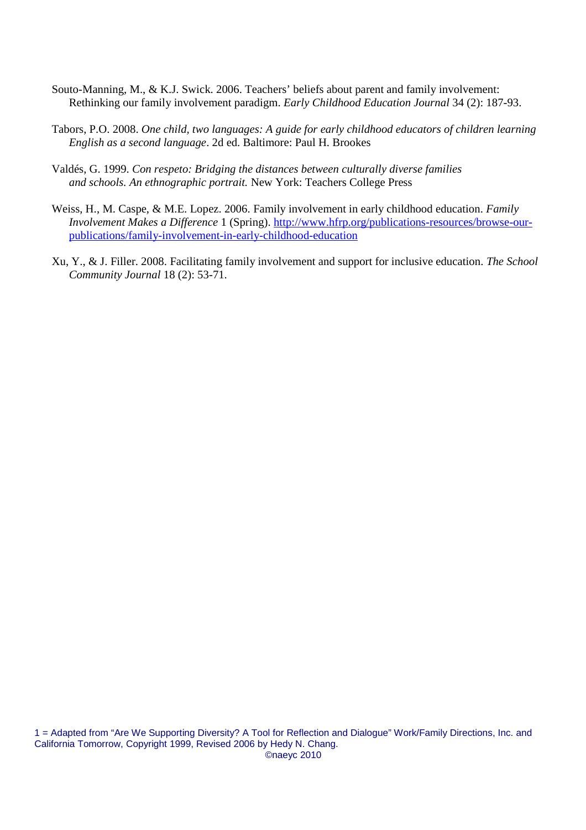- Souto-Manning, M., & K.J. Swick. 2006. Teachers' beliefs about parent and family involvement: Rethinking our family involvement paradigm. *Early Childhood Education Journal* 34 (2): 187-93.
- Tabors, P.O. 2008. *One child, two languages: A guide for early childhood educators of children learning English as a second language*. 2d ed. Baltimore: Paul H. Brookes
- Valdés, G. 1999. *Con respeto: Bridging the distances between culturally diverse families and schools. An ethnographic portrait.* New York: Teachers College Press
- Weiss, H., M. Caspe, & M.E. Lopez. 2006. Family involvement in early childhood education. *Family Involvement Makes a Difference* 1 (Spring). http://www.hfrp.org/publications-resources/browse-ourpublications/family-involvement-in-early-chil[dhood-education](http://www.hfrp.org/publications-resources/browse-our-publications/family-involvement-in-early-childhood-education)
- Xu, [Y., & J. Filler. 2008. Facilitating family involvement and suppor](http://www.hfrp.org/publications-resources/browse-our-publications/family-involvement-in-early-childhood-education)t for inclusive education. *The School Community Journal* 18 (2): 53-71.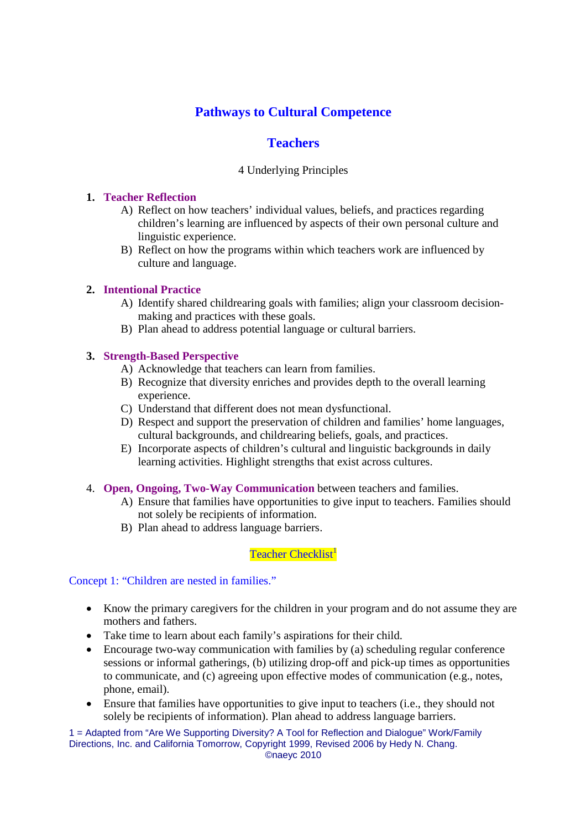# **Pathways to Cultural Competence**

# **Teachers**

#### 4 Underlying Principles

#### **1. Teacher Reflection**

- A) Reflect on how teachers' individual values, beliefs, and practices regarding children's learning are influenced by aspects of their own personal culture and linguistic experience.
- B) Reflect on how the programs within which teachers work are influenced by culture and language.

#### **2. Intentional Practice**

- A) Identify shared childrearing goals with families; align your classroom decisionmaking and practices with these goals.
- B) Plan ahead to address potential language or cultural barriers.

#### **3. Strength-Based Perspective**

- A) Acknowledge that teachers can learn from families.
- B) Recognize that diversity enriches and provides depth to the overall learning experience.
- C) Understand that different does not mean dysfunctional.
- D) Respect and support the preservation of children and families' home languages, cultural backgrounds, and childrearing beliefs, goals, and practices.
- E) Incorporate aspects of children's cultural and linguistic backgrounds in daily learning activities. Highlight strengths that exist across cultures.
- 4. **Open, Ongoing, Two-Way Communication** between teachers and families.
	- A) Ensure that families have opportunities to give input to teachers. Families should not solely be recipients of information.
	- B) Plan ahead to address language barriers.

Teacher Checklist<sup>1</sup>

Concept 1: "Children are nested in families."

- Know the primary caregivers for the children in your program and do not assume they are mothers and fathers.
- Take time to learn about each family's aspirations for their child.
- Encourage two-way communication with families by (a) scheduling regular conference sessions or informal gatherings, (b) utilizing drop-off and pick-up times as opportunities to communicate, and (c) agreeing upon effective modes of communication (e.g., notes, phone, email).
- Ensure that families have opportunities to give input to teachers (i.e., they should not solely be recipients of information). Plan ahead to address language barriers.

1 = Adapted from "Are We Supporting Diversity? A Tool for Reflection and Dialogue" Work/Family Directions, Inc. and California Tomorrow, Copyright 1999, Revised 2006 by Hedy N. Chang.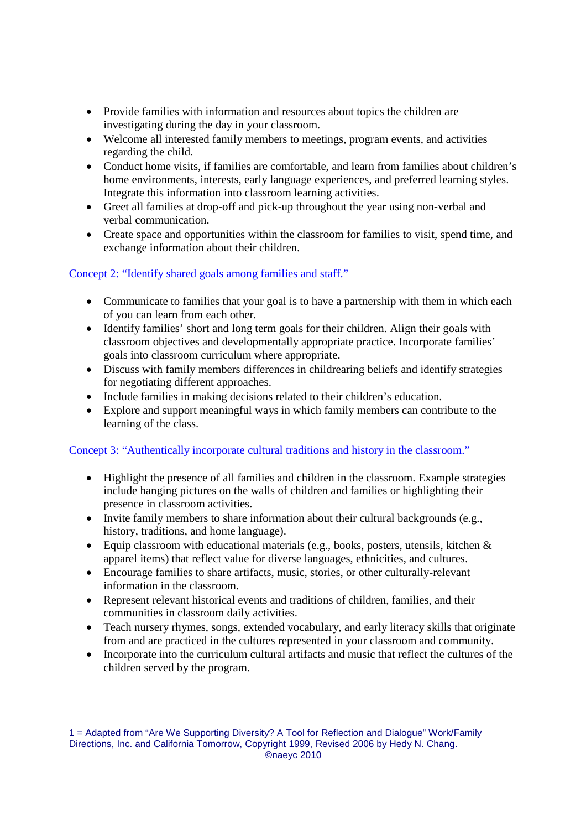- Provide families with information and resources about topics the children are investigating during the day in your classroom.
- Welcome all interested family members to meetings, program events, and activities regarding the child.
- Conduct home visits, if families are comfortable, and learn from families about children's home environments, interests, early language experiences, and preferred learning styles. Integrate this information into classroom learning activities.
- Greet all families at drop-off and pick-up throughout the year using non-verbal and verbal communication.
- Create space and opportunities within the classroom for families to visit, spend time, and exchange information about their children.

# Concept 2: "Identify shared goals among families and staff."

- Communicate to families that your goal is to have a partnership with them in which each of you can learn from each other.
- Identify families' short and long term goals for their children. Align their goals with classroom objectives and developmentally appropriate practice. Incorporate families' goals into classroom curriculum where appropriate.
- Discuss with family members differences in childrearing beliefs and identify strategies for negotiating different approaches.
- Include families in making decisions related to their children's education.
- Explore and support meaningful ways in which family members can contribute to the learning of the class.

# Concept 3: "Authentically incorporate cultural traditions and history in the classroom."

- Highlight the presence of all families and children in the classroom. Example strategies include hanging pictures on the walls of children and families or highlighting their presence in classroom activities.
- Invite family members to share information about their cultural backgrounds (e.g., history, traditions, and home language).
- Equip classroom with educational materials (e.g., books, posters, utensils, kitchen & apparel items) that reflect value for diverse languages, ethnicities, and cultures.
- Encourage families to share artifacts, music, stories, or other culturally-relevant information in the classroom.
- Represent relevant historical events and traditions of children, families, and their communities in classroom daily activities.
- Teach nursery rhymes, songs, extended vocabulary, and early literacy skills that originate from and are practiced in the cultures represented in your classroom and community.
- Incorporate into the curriculum cultural artifacts and music that reflect the cultures of the children served by the program.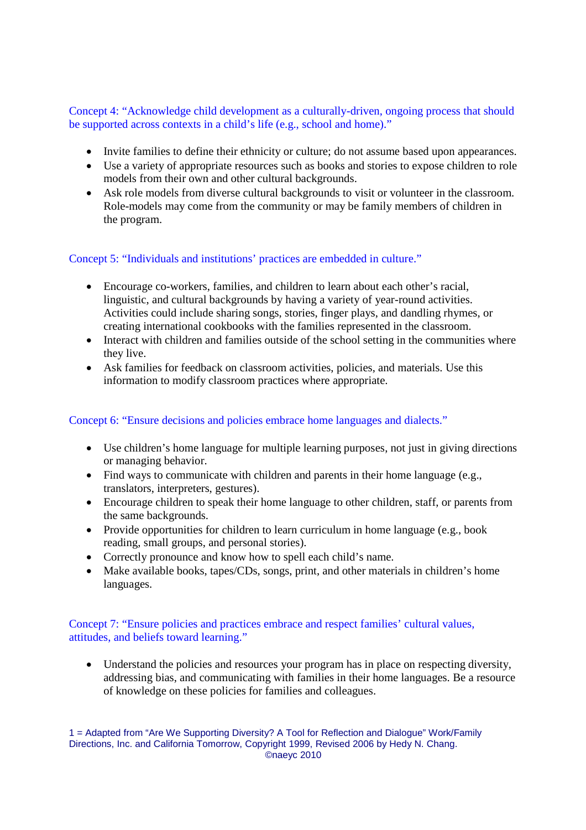Concept 4: "Acknowledge child development as a culturally-driven, ongoing process that should be supported across contexts in a child's life (e.g., school and home)."

- Invite families to define their ethnicity or culture; do not assume based upon appearances.
- Use a variety of appropriate resources such as books and stories to expose children to role models from their own and other cultural backgrounds.
- Ask role models from diverse cultural backgrounds to visit or volunteer in the classroom. Role-models may come from the community or may be family members of children in the program.

#### Concept 5: "Individuals and institutions' practices are embedded in culture."

- Encourage co-workers, families, and children to learn about each other's racial, linguistic, and cultural backgrounds by having a variety of year-round activities. Activities could include sharing songs, stories, finger plays, and dandling rhymes, or creating international cookbooks with the families represented in the classroom.
- Interact with children and families outside of the school setting in the communities where they live.
- Ask families for feedback on classroom activities, policies, and materials. Use this information to modify classroom practices where appropriate.

### Concept 6: "Ensure decisions and policies embrace home languages and dialects."

- Use children's home language for multiple learning purposes, not just in giving directions or managing behavior.
- Find ways to communicate with children and parents in their home language (e.g., translators, interpreters, gestures).
- Encourage children to speak their home language to other children, staff, or parents from the same backgrounds.
- Provide opportunities for children to learn curriculum in home language (e.g., book reading, small groups, and personal stories).
- Correctly pronounce and know how to spell each child's name.
- Make available books, tapes/CDs, songs, print, and other materials in children's home languages.

### Concept 7: "Ensure policies and practices embrace and respect families' cultural values, attitudes, and beliefs toward learning."

 Understand the policies and resources your program has in place on respecting diversity, addressing bias, and communicating with families in their home languages. Be a resource of knowledge on these policies for families and colleagues.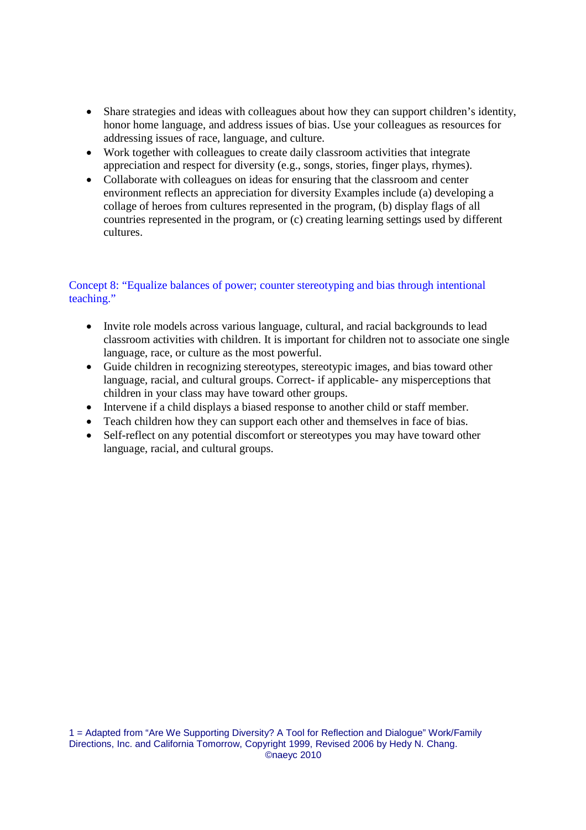- Share strategies and ideas with colleagues about how they can support children's identity, honor home language, and address issues of bias. Use your colleagues as resources for addressing issues of race, language, and culture.
- Work together with colleagues to create daily classroom activities that integrate appreciation and respect for diversity (e.g., songs, stories, finger plays, rhymes).
- Collaborate with colleagues on ideas for ensuring that the classroom and center environment reflects an appreciation for diversity Examples include (a) developing a collage of heroes from cultures represented in the program, (b) display flags of all countries represented in the program, or (c) creating learning settings used by different cultures.

# Concept 8: "Equalize balances of power; counter stereotyping and bias through intentional teaching."

- Invite role models across various language, cultural, and racial backgrounds to lead classroom activities with children. It is important for children not to associate one single language, race, or culture as the most powerful.
- Guide children in recognizing stereotypes, stereotypic images, and bias toward other language, racial, and cultural groups. Correct- if applicable- any misperceptions that children in your class may have toward other groups.
- Intervene if a child displays a biased response to another child or staff member.
- Teach children how they can support each other and themselves in face of bias.
- Self-reflect on any potential discomfort or stereotypes you may have toward other language, racial, and cultural groups.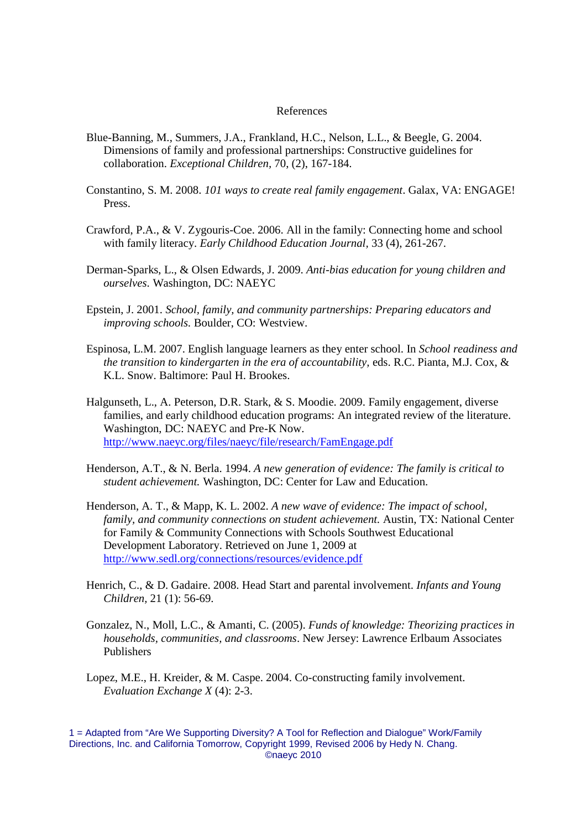#### References

- Blue-Banning, M., Summers, J.A., Frankland, H.C., Nelson, L.L., & Beegle, G. 2004. Dimensions of family and professional partnerships: Constructive guidelines for collaboration. *Exceptional Children,* 70, (2), 167-184.
- Constantino, S. M. 2008. *101 ways to create real family engagement*. Galax, VA: ENGAGE! Press.
- Crawford, P.A., & V. Zygouris-Coe. 2006. All in the family: Connecting home and school with family literacy. *Early Childhood Education Journal,* 33 (4), 261-267.
- Derman-Sparks, L., & Olsen Edwards, J. 2009. *Anti-bias education for young children and ourselves*. Washington, DC: NAEYC
- Epstein, J. 2001. *School, family, and community partnerships: Preparing educators and improving schools.* Boulder, CO: Westview.
- Espinosa, L.M. 2007. English language learners as they enter school. In *School readiness and the transition to kindergarten in the era of accountability,* eds. R.C. Pianta, M.J. Cox, & K.L. Snow. Baltimore: Paul H. Brookes.
- Halgunseth, L., A. Peterson, D.R. Stark, & S. Moodie. 2009. Family engagement, diverse families, and early childhood education programs: An integrated review of the literature. Washington, DC: NAEYC and Pre-K Now. http://www.naeyc.org/files/naeyc/file/research/FamEngage.pdf
- Henderson, A.T., & N. Berla. 1994. *[A new generation of evidence: Th](http://www.naeyc.org/files/naeyc/file/research/FamEngage.pdf)e family is critical to student achievement.* Washington, DC: Center for Law and Education.
- Henderson, A. T., & Mapp, K. L. 2002. *A new wave of evidence: The impact of school, family, and community connections on student achievement.* Austin, TX: National Center for Family & Community Connections with Schools Southwest Educational Development Laboratory. Retrieved on June 1, 2009 at http://www.sedl.org/connections/resources/evidence.pdf
- Hen[rich, C., & D. Gadaire. 2008. Head Start and parental invol](http://www.sedl.org/connections/resources/evidence.pdf)vement. *Infants and Young Children,* 21 (1): 56-69.
- Gonzalez, N., Moll, L.C., & Amanti, C. (2005). *Funds of knowledge: Theorizing practices in households, communities, and classrooms*. New Jersey: Lawrence Erlbaum Associates Publishers
- Lopez, M.E., H. Kreider, & M. Caspe. 2004. Co-constructing family involvement. *Evaluation Exchange X* (4): 2-3.

<sup>1 =</sup> Adapted from "Are We Supporting Diversity? A Tool for Reflection and Dialogue" Work/Family Directions, Inc. and California Tomorrow, Copyright 1999, Revised 2006 by Hedy N. Chang. ©naeyc 2010